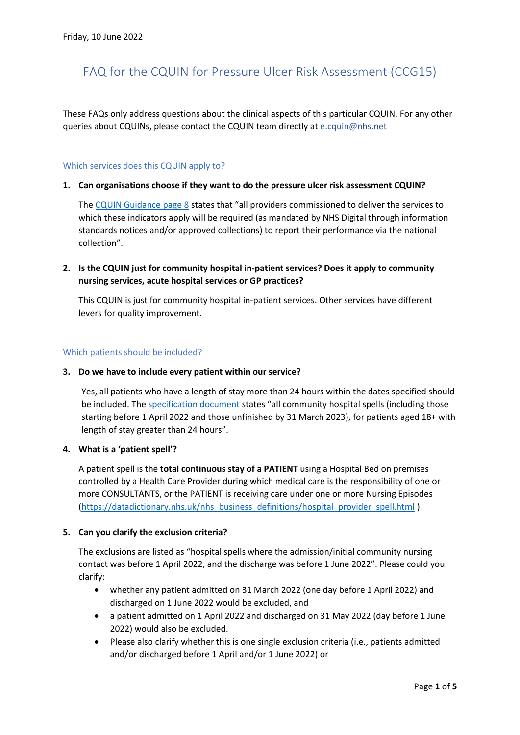# FAQ for the CQUIN for Pressure Ulcer Risk Assessment (CCG15)

These FAQs only address questions about the clinical aspects of this particular CQUIN. For any other queries about CQUINs, please contact the CQUIN team directly a[t e.cquin@nhs.net](mailto:e.cquin@nhs.net)

#### Which services does this CQUIN apply to?

#### **1. Can organisations choose if they want to do the pressure ulcer risk assessment CQUIN?**

The [CQUIN Guidance](https://www.england.nhs.uk/wp-content/uploads/2021/12/B1119-ii-cquin-annex-indicator-specifications.pdf) page 8 states that "all providers commissioned to deliver the services to which these indicators apply will be required (as mandated by NHS Digital through information standards notices and/or approved collections) to report their performance via the national collection".

# **2. Is the CQUIN just for community hospital in-patient services? Does it apply to community nursing services, acute hospital services or GP practices?**

This CQUIN is just for community hospital in-patient services. Other services have different levers for quality improvement.

#### Which patients should be included?

#### **3. Do we have to include every patient within our service?**

Yes, all patients who have a length of stay more than 24 hours within the dates specified should be included. Th[e specification document](https://www.england.nhs.uk/wp-content/uploads/2021/12/B1119-ii-cquin-annex-indicator-specifications.pdf) states "all community hospital spells (including those starting before 1 April 2022 and those unfinished by 31 March 2023), for patients aged 18+ with length of stay greater than 24 hours".

## **4. What is a 'patient spell'?**

A patient spell is the **total continuous stay of a PATIENT** using a Hospital Bed on premises controlled by a Health Care Provider during which medical care is the responsibility of one or more CONSULTANTS, or the PATIENT is receiving care under one or more Nursing Episodes [\(https://datadictionary.nhs.uk/nhs\\_business\\_definitions/hospital\\_provider\\_spell.html](https://datadictionary.nhs.uk/nhs_business_definitions/hospital_provider_spell.html) ).

#### **5. Can you clarify the exclusion criteria?**

The exclusions are listed as "hospital spells where the admission/initial community nursing contact was before 1 April 2022, and the discharge was before 1 June 2022". Please could you clarify:

- whether any patient admitted on 31 March 2022 (one day before 1 April 2022) and discharged on 1 June 2022 would be excluded, and
- a patient admitted on 1 April 2022 and discharged on 31 May 2022 (day before 1 June 2022) would also be excluded.
- Please also clarify whether this is one single exclusion criteria (i.e., patients admitted and/or discharged before 1 April and/or 1 June 2022) or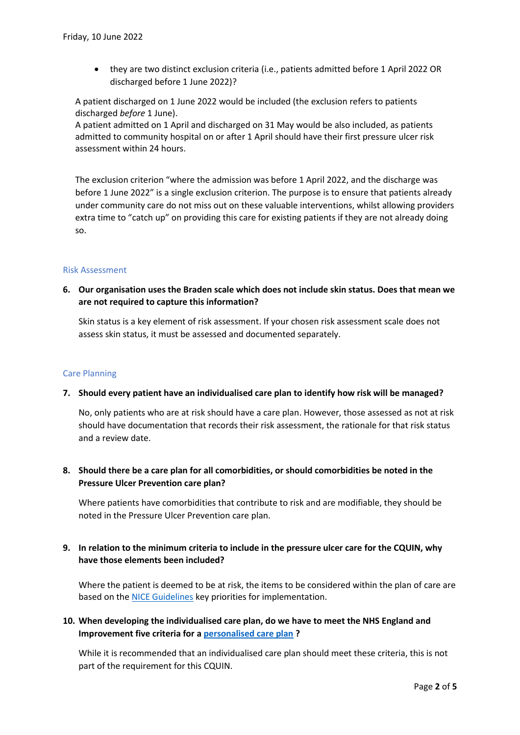• they are two distinct exclusion criteria (i.e., patients admitted before 1 April 2022 OR discharged before 1 June 2022)?

A patient discharged on 1 June 2022 would be included (the exclusion refers to patients discharged *before* 1 June).

A patient admitted on 1 April and discharged on 31 May would be also included, as patients admitted to community hospital on or after 1 April should have their first pressure ulcer risk assessment within 24 hours.

The exclusion criterion "where the admission was before 1 April 2022, and the discharge was before 1 June 2022" is a single exclusion criterion. The purpose is to ensure that patients already under community care do not miss out on these valuable interventions, whilst allowing providers extra time to "catch up" on providing this care for existing patients if they are not already doing so.

## Risk Assessment

**6. Our organisation uses the Braden scale which does not include skin status. Does that mean we are not required to capture this information?**

Skin status is a key element of risk assessment. If your chosen risk assessment scale does not assess skin status, it must be assessed and documented separately.

## Care Planning

## **7. Should every patient have an individualised care plan to identify how risk will be managed?**

No, only patients who are at risk should have a care plan. However, those assessed as not at risk should have documentation that records their risk assessment, the rationale for that risk status and a review date.

**8. Should there be a care plan for all comorbidities, or should comorbidities be noted in the Pressure Ulcer Prevention care plan?**

Where patients have comorbidities that contribute to risk and are modifiable, they should be noted in the Pressure Ulcer Prevention care plan.

# **9. In relation to the minimum criteria to include in the pressure ulcer care for the CQUIN, why have those elements been included?**

Where the patient is deemed to be at risk, the items to be considered within the plan of care are based on th[e NICE Guidelines](https://www.nice.org.uk/guidance/cg179) key priorities for implementation.

# **10. When developing the individualised care plan, do we have to meet the NHS England and Improvement five criteria for a [personalised care plan](https://www.england.nhs.uk/ourwork/patient-participation/patient-centred/planning/) ?**

While it is recommended that an individualised care plan should meet these criteria, this is not part of the requirement for this CQUIN.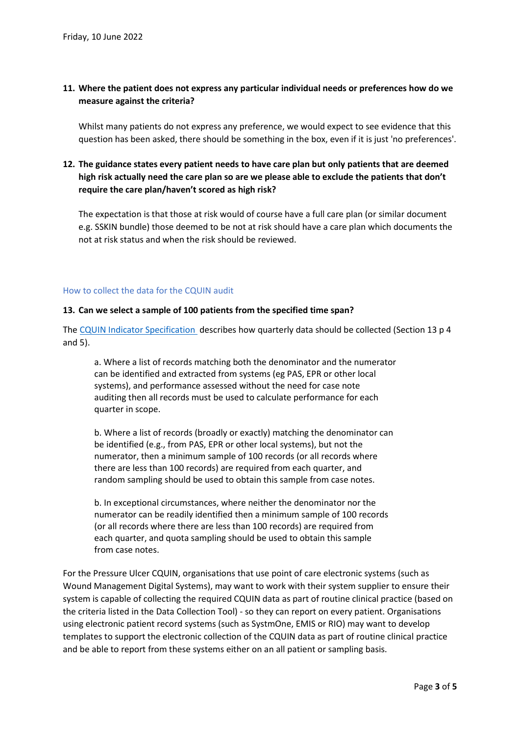# **11. Where the patient does not express any particular individual needs or preferences how do we measure against the criteria?**

Whilst many patients do not express any preference, we would expect to see evidence that this question has been asked, there should be something in the box, even if it is just 'no preferences'.

# **12. The guidance states every patient needs to have care plan but only patients that are deemed high risk actually need the care plan so are we please able to exclude the patients that don't require the care plan/haven't scored as high risk?**

The expectation is that those at risk would of course have a full care plan (or similar document e.g. SSKIN bundle) those deemed to be not at risk should have a care plan which documents the not at risk status and when the risk should be reviewed.

#### How to collect the data for the CQUIN audit

#### **13. Can we select a sample of 100 patients from the specified time span?**

The [CQUIN Indicator Specification](https://www.england.nhs.uk/wp-content/uploads/2021/12/B1119-ii-cquin-annex-indicator-specifications.pdf) describes how quarterly data should be collected (Section 13 p 4 and 5).

a. Where a list of records matching both the denominator and the numerator can be identified and extracted from systems (eg PAS, EPR or other local systems), and performance assessed without the need for case note auditing then all records must be used to calculate performance for each quarter in scope.

b. Where a list of records (broadly or exactly) matching the denominator can be identified (e.g., from PAS, EPR or other local systems), but not the numerator, then a minimum sample of 100 records (or all records where there are less than 100 records) are required from each quarter, and random sampling should be used to obtain this sample from case notes.

b. In exceptional circumstances, where neither the denominator nor the numerator can be readily identified then a minimum sample of 100 records (or all records where there are less than 100 records) are required from each quarter, and quota sampling should be used to obtain this sample from case notes.

For the Pressure Ulcer CQUIN, organisations that use point of care electronic systems (such as Wound Management Digital Systems), may want to work with their system supplier to ensure their system is capable of collecting the required CQUIN data as part of routine clinical practice (based on the criteria listed in the Data Collection Tool) - so they can report on every patient. Organisations using electronic patient record systems (such as SystmOne, EMIS or RIO) may want to develop templates to support the electronic collection of the CQUIN data as part of routine clinical practice and be able to report from these systems either on an all patient or sampling basis.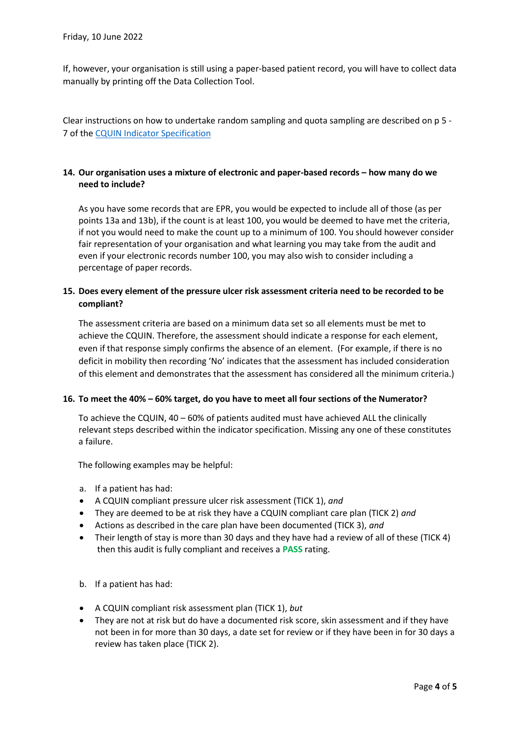If, however, your organisation is still using a paper-based patient record, you will have to collect data manually by printing off the Data Collection Tool.

Clear instructions on how to undertake random sampling and quota sampling are described on p 5 - 7 of the [CQUIN Indicator Specification](https://www.england.nhs.uk/wp-content/uploads/2021/12/B1119-ii-cquin-annex-indicator-specifications.pdf)

## **14. Our organisation uses a mixture of electronic and paper-based records – how many do we need to include?**

As you have some records that are EPR, you would be expected to include all of those (as per points 13a and 13b), if the count is at least 100, you would be deemed to have met the criteria, if not you would need to make the count up to a minimum of 100. You should however consider fair representation of your organisation and what learning you may take from the audit and even if your electronic records number 100, you may also wish to consider including a percentage of paper records.

# **15. Does every element of the pressure ulcer risk assessment criteria need to be recorded to be compliant?**

The assessment criteria are based on a minimum data set so all elements must be met to achieve the CQUIN. Therefore, the assessment should indicate a response for each element, even if that response simply confirms the absence of an element. (For example, if there is no deficit in mobility then recording 'No' indicates that the assessment has included consideration of this element and demonstrates that the assessment has considered all the minimum criteria.)

## **16. To meet the 40% – 60% target, do you have to meet all four sections of the Numerator?**

To achieve the CQUIN, 40 – 60% of patients audited must have achieved ALL the clinically relevant steps described within the indicator specification. Missing any one of these constitutes a failure.

The following examples may be helpful:

- a. If a patient has had:
- A CQUIN compliant pressure ulcer risk assessment (TICK 1), *and*
- They are deemed to be at risk they have a CQUIN compliant care plan (TICK 2) *and*
- Actions as described in the care plan have been documented (TICK 3), *and*
- Their length of stay is more than 30 days and they have had a review of all of these (TICK 4) then this audit is fully compliant and receives a **PASS** rating.
- b. If a patient has had:
- A CQUIN compliant risk assessment plan (TICK 1), *but*
- They are not at risk but do have a documented risk score, skin assessment and if they have not been in for more than 30 days, a date set for review or if they have been in for 30 days a review has taken place (TICK 2).